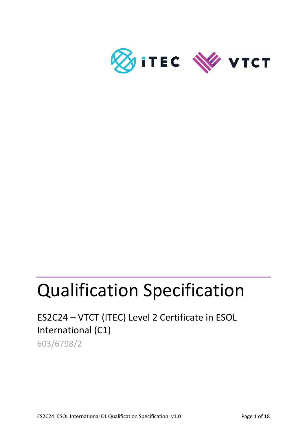

# Qualification Specification

ES2C24 – VTCT (ITEC) Level 2 Certificate in ESOL International (C1)

603/6798/2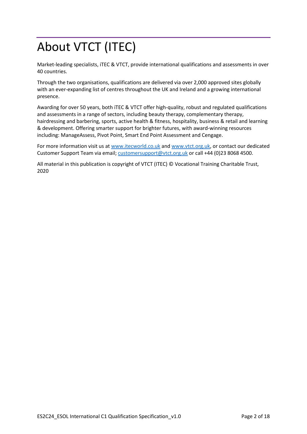# <span id="page-1-0"></span>About VTCT (ITEC)

Market-leading specialists, iTEC & VTCT, provide international qualifications and assessments in over 40 countries.

Through the two organisations, qualifications are delivered via over 2,000 approved sites globally with an ever-expanding list of centres throughout the UK and Ireland and a growing international presence.

Awarding for over 50 years, both iTEC & VTCT offer high-quality, robust and regulated qualifications and assessments in a range of sectors, including beauty therapy, complementary therapy, hairdressing and barbering, sports, active health & fitness, hospitality, business & retail and learning & development. Offering smarter support for brighter futures, with award-winning resources including: ManageAssess, Pivot Point, Smart End Point Assessment and Cengage.

For more information visit us a[t www.itecworld.co.uk](http://www.itecworld.co.uk/) and [www.vtct.org.uk,](http://www.vtct.org.uk/) or contact our dedicated Customer Support Team via email; [customersupport@vtct.org.uk](mailto:customersupport@vtct.org.uk) or call +44 (0)23 8068 4500.

All material in this publication is copyright of VTCT (ITEC) © Vocational Training Charitable Trust, 2020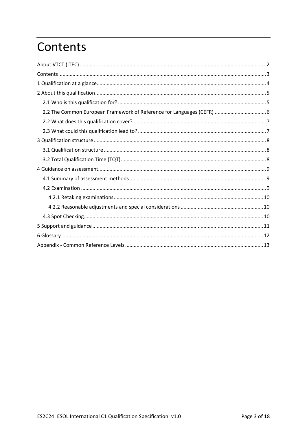### <span id="page-2-0"></span>Contents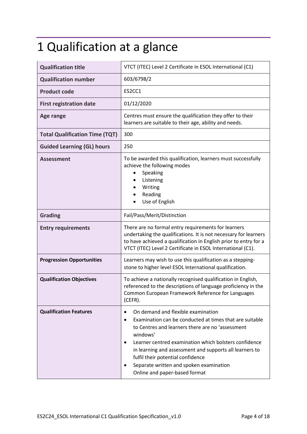# <span id="page-3-0"></span>1 Qualification at a glance

| <b>Qualification title</b>            | VTCT (ITEC) Level 2 Certificate in ESOL International (C1)                                                                                                                                                                                                                                                                                                                                                                                             |
|---------------------------------------|--------------------------------------------------------------------------------------------------------------------------------------------------------------------------------------------------------------------------------------------------------------------------------------------------------------------------------------------------------------------------------------------------------------------------------------------------------|
| <b>Qualification number</b>           | 603/6798/2                                                                                                                                                                                                                                                                                                                                                                                                                                             |
| <b>Product code</b>                   | ES2CC1                                                                                                                                                                                                                                                                                                                                                                                                                                                 |
| <b>First registration date</b>        | 01/12/2020                                                                                                                                                                                                                                                                                                                                                                                                                                             |
| Age range                             | Centres must ensure the qualification they offer to their<br>learners are suitable to their age, ability and needs.                                                                                                                                                                                                                                                                                                                                    |
| <b>Total Qualification Time (TQT)</b> | 300                                                                                                                                                                                                                                                                                                                                                                                                                                                    |
| <b>Guided Learning (GL) hours</b>     | 250                                                                                                                                                                                                                                                                                                                                                                                                                                                    |
| <b>Assessment</b>                     | To be awarded this qualification, learners must successfully<br>achieve the following modes<br>Speaking<br>Listening<br>Writing<br>Reading<br>Use of English                                                                                                                                                                                                                                                                                           |
| <b>Grading</b>                        | Fail/Pass/Merit/Distinction                                                                                                                                                                                                                                                                                                                                                                                                                            |
| <b>Entry requirements</b>             | There are no formal entry requirements for learners<br>undertaking the qualifications. It is not necessary for learners<br>to have achieved a qualification in English prior to entry for a<br>VTCT (ITEC) Level 2 Certificate in ESOL International (C1).                                                                                                                                                                                             |
| <b>Progression Opportunities</b>      | Learners may wish to use this qualification as a stepping-<br>stone to higher level ESOL International qualification.                                                                                                                                                                                                                                                                                                                                  |
| <b>Qualification Objectives</b>       | To achieve a nationally recognised qualification in English,<br>referenced to the descriptions of language proficiency in the<br>Common European Framework Reference for Languages<br>$(CEFR)$ .                                                                                                                                                                                                                                                       |
| <b>Qualification Features</b>         | On demand and flexible examination<br>$\bullet$<br>Examination can be conducted at times that are suitable<br>$\bullet$<br>to Centres and learners there are no 'assessment<br>windows'<br>Learner centred examination which bolsters confidence<br>$\bullet$<br>in learning and assessment and supports all learners to<br>fulfil their potential confidence<br>Separate written and spoken examination<br>$\bullet$<br>Online and paper-based format |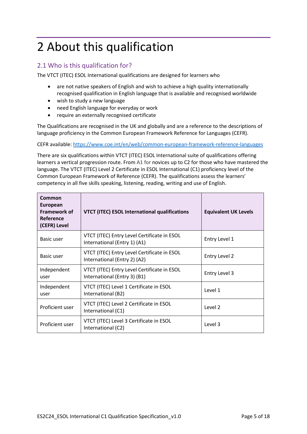### <span id="page-4-0"></span>2 About this qualification

#### <span id="page-4-1"></span>2.1 Who is this qualification for?

The VTCT (ITEC) ESOL International qualifications are designed for learners who

- are not native speakers of English and wish to achieve a high quality internationally recognised qualification in English language that is available and recognised worldwide
- wish to study a new language
- need English language for everyday or work
- require an externally recognised certificate

The Qualifications are recognised in the UK and globally and are a reference to the descriptions of language proficiency in the Common European Framework Reference for Languages (CEFR).

CEFR available:<https://www.coe.int/en/web/common-european-framework-reference-languages>

There are six qualifications within VTCT (ITEC) ESOL International suite of qualifications offering learners a vertical progression route. From A1 for novices up to C2 for those who have mastered the language. The VTCT (ITEC) Level 2 Certificate in ESOL International (C1) proficiency level of the Common European Framework of Reference (CEFR). The qualifications assess the learners' competency in all five skills speaking, listening, reading, writing and use of English.

| Common<br><b>European</b><br><b>Framework of</b><br>Reference<br>(CEFR) Level | <b>VTCT (ITEC) ESOL International qualifications</b>                        | <b>Equivalent UK Levels</b> |
|-------------------------------------------------------------------------------|-----------------------------------------------------------------------------|-----------------------------|
| Basic user                                                                    | VTCT (ITEC) Entry Level Certificate in ESOL<br>International (Entry 1) (A1) | Entry Level 1               |
| Basic user                                                                    | VTCT (ITEC) Entry Level Certificate in ESOL<br>International (Entry 2) (A2) | Entry Level 2               |
| Independent<br>user                                                           | VTCT (ITEC) Entry Level Certificate in ESOL<br>International (Entry 3) (B1) | Entry Level 3               |
| Independent<br>user                                                           | VTCT (ITEC) Level 1 Certificate in ESOL<br>International (B2)               | Level 1                     |
| Proficient user                                                               | VTCT (ITEC) Level 2 Certificate in ESOL<br>International (C1)               | Level 2                     |
| Proficient user                                                               | VTCT (ITEC) Level 3 Certificate in ESOL<br>International (C2)               | Level 3                     |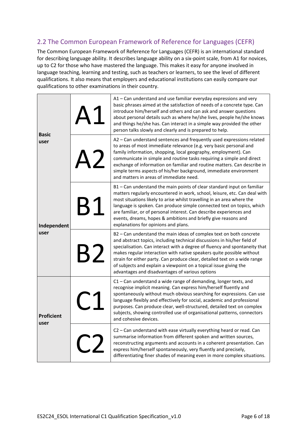#### <span id="page-5-0"></span>2.2 The Common European Framework of Reference for Languages (CEFR)

The Common European Framework of Reference for Languages (CEFR) is an international standard for describing language ability. It describes language ability on a six-point scale, from A1 for novices, up to C2 for those who have mastered the language. This makes it easy for anyone involved in language teaching, learning and testing, such as teachers or learners, to see the level of different qualifications. It also means that employers and educational institutions can easily compare our qualifications to other examinations in their country.

| <b>Basic</b>      |                | A1 - Can understand and use familiar everyday expressions and very<br>basic phrases aimed at the satisfaction of needs of a concrete type. Can<br>introduce him/herself and others and can ask and answer questions<br>about personal details such as where he/she lives, people he/she knows<br>and things he/she has. Can interact in a simple way provided the other<br>person talks slowly and clearly and is prepared to help.                                                                         |
|-------------------|----------------|-------------------------------------------------------------------------------------------------------------------------------------------------------------------------------------------------------------------------------------------------------------------------------------------------------------------------------------------------------------------------------------------------------------------------------------------------------------------------------------------------------------|
| user              |                | A2 – Can understand sentences and frequently used expressions related<br>to areas of most immediate relevance (e.g. very basic personal and<br>family information, shopping, local geography, employment). Can<br>communicate in simple and routine tasks requiring a simple and direct<br>exchange of information on familiar and routine matters. Can describe in<br>simple terms aspects of his/her background, immediate environment<br>and matters in areas of immediate need.                         |
| Independent       |                | B1 - Can understand the main points of clear standard input on familiar<br>matters regularly encountered in work, school, leisure, etc. Can deal with<br>most situations likely to arise whilst travelling in an area where the<br>language is spoken. Can produce simple connected text on topics, which<br>are familiar, or of personal interest. Can describe experiences and<br>events, dreams, hopes & ambitions and briefly give reasons and<br>explanations for opinions and plans.                  |
| user              | <b>B2</b>      | B2 - Can understand the main ideas of complex text on both concrete<br>and abstract topics, including technical discussions in his/her field of<br>specialisation. Can interact with a degree of fluency and spontaneity that<br>makes regular interaction with native speakers quite possible without<br>strain for either party. Can produce clear, detailed text on a wide range<br>of subjects and explain a viewpoint on a topical issue giving the<br>advantages and disadvantages of various options |
| <b>Proficient</b> |                | $C1$ – Can understand a wide range of demanding, longer texts, and<br>recognise implicit meaning. Can express him/herself fluently and<br>spontaneously without much obvious searching for expressions. Can use<br>language flexibly and effectively for social, academic and professional<br>purposes. Can produce clear, well-structured, detailed text on complex<br>subjects, showing controlled use of organisational patterns, connectors<br>and cohesive devices.                                    |
| user              | C <sub>2</sub> | C2 - Can understand with ease virtually everything heard or read. Can<br>summarise information from different spoken and written sources,<br>reconstructing arguments and accounts in a coherent presentation. Can<br>express him/herself spontaneously, very fluently and precisely,<br>differentiating finer shades of meaning even in more complex situations.                                                                                                                                           |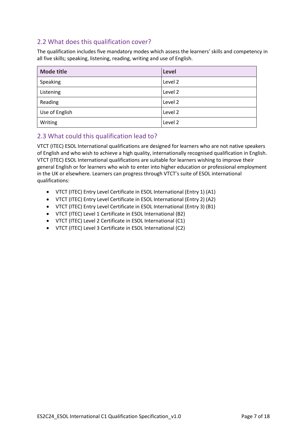#### <span id="page-6-0"></span>2.2 What does this qualification cover?

The qualification includes five mandatory modes which assess the learners' skills and competency in all five skills; speaking, listening, reading, writing and use of English.

| <b>Mode title</b> | <b>Level</b> |
|-------------------|--------------|
| Speaking          | Level 2      |
| Listening         | Level 2      |
| Reading           | Level 2      |
| Use of English    | Level 2      |
| Writing           | Level 2      |

#### <span id="page-6-1"></span>2.3 What could this qualification lead to?

VTCT (ITEC) ESOL International qualifications are designed for learners who are not native speakers of English and who wish to achieve a high quality, internationally recognised qualification in English. VTCT (ITEC) ESOL International qualifications are suitable for learners wishing to improve their general English or for learners who wish to enter into higher education or professional employment in the UK or elsewhere. Learners can progress through VTCT's suite of ESOL international qualifications:

- VTCT (ITEC) Entry Level Certificate in ESOL International (Entry 1) (A1)
- VTCT (ITEC) Entry Level Certificate in ESOL International (Entry 2) (A2)
- VTCT (ITEC) Entry Level Certificate in ESOL International (Entry 3) (B1)
- VTCT (ITEC) Level 1 Certificate in ESOL International (B2)
- VTCT (ITEC) Level 2 Certificate in ESOL International (C1)
- VTCT (ITEC) Level 3 Certificate in ESOL International (C2)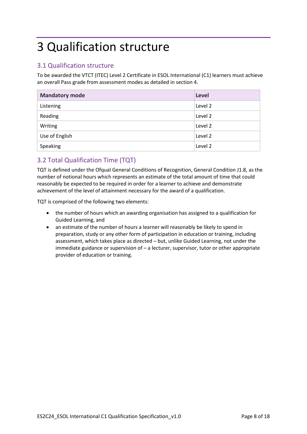## <span id="page-7-0"></span>3 Qualification structure

#### <span id="page-7-1"></span>3.1 Qualification structure

To be awarded the VTCT (ITEC) Level 2 Certificate in ESOL International (C1) learners must achieve an overall Pass grade from assessment modes as detailed in section 4.

| <b>Mandatory mode</b> | <b>Level</b> |
|-----------------------|--------------|
| Listening             | Level 2      |
| Reading               | Level 2      |
| Writing               | Level 2      |
| Use of English        | Level 2      |
| Speaking              | Level 2      |

#### <span id="page-7-2"></span>3.2 Total Qualification Time (TQT)

TQT is defined under the Ofqual General Conditions of Recognition, General Condition J1.8, as the number of notional hours which represents an estimate of the total amount of time that could reasonably be expected to be required in order for a learner to achieve and demonstrate achievement of the level of attainment necessary for the award of a qualification.

TQT is comprised of the following two elements:

- the number of hours which an awarding organisation has assigned to a qualification for Guided Learning, and
- an estimate of the number of hours a learner will reasonably be likely to spend in preparation, study or any other form of participation in education or training, including assessment, which takes place as directed – but, unlike Guided Learning, not under the immediate guidance or supervision of – a lecturer, supervisor, tutor or other appropriate provider of education or training.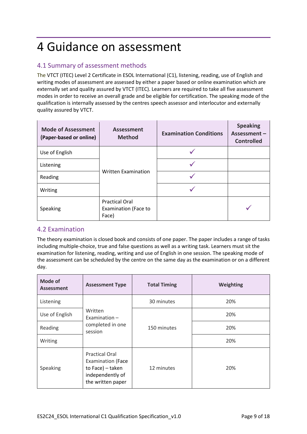### <span id="page-8-0"></span>4 Guidance on assessment

#### <span id="page-8-1"></span>4.1 Summary of assessment methods

The VTCT (ITEC) Level 2 Certificate in ESOL International (C1), listening, reading, use of English and writing modes of assessment are assessed by either a paper based or online examination which are externally set and quality assured by VTCT (ITEC). Learners are required to take all five assessment modes in order to receive an overall grade and be eligible for certification. The speaking mode of the qualification is internally assessed by the centres speech assessor and interlocutor and externally quality assured by VTCT.

| <b>Mode of Assessment</b><br>(Paper-based or online)                      | <b>Assessment</b><br><b>Method</b> | <b>Examination Conditions</b> | <b>Speaking</b><br>Assessment-<br><b>Controlled</b> |
|---------------------------------------------------------------------------|------------------------------------|-------------------------------|-----------------------------------------------------|
| Use of English                                                            |                                    |                               |                                                     |
| Listening                                                                 |                                    |                               |                                                     |
| Reading                                                                   | <b>Written Examination</b>         |                               |                                                     |
| Writing                                                                   |                                    |                               |                                                     |
| <b>Practical Oral</b><br>Speaking<br><b>Examination (Face to</b><br>Face) |                                    |                               |                                                     |

#### <span id="page-8-2"></span>4.2 Examination

The theory examination is closed book and consists of one paper. The paper includes a range of tasks including multiple-choice, true and false questions as well as a writing task. Learners must sit the examination for listening, reading, writing and use of English in one session. The speaking mode of the assessment can be scheduled by the centre on the same day as the examination or on a different day.

| Mode of<br><b>Assessment</b>                                                                                               | <b>Assessment Type</b>                                    | <b>Total Timing</b> | Weighting |
|----------------------------------------------------------------------------------------------------------------------------|-----------------------------------------------------------|---------------------|-----------|
| Listening                                                                                                                  |                                                           | 30 minutes          | 20%       |
| Use of English                                                                                                             | Written<br>Examination $-$<br>completed in one<br>session | 150 minutes         | 20%       |
| Reading                                                                                                                    |                                                           |                     | 20%       |
| Writing                                                                                                                    |                                                           |                     | 20%       |
| <b>Practical Oral</b><br><b>Examination (Face</b><br>to Face) - taken<br>Speaking<br>independently of<br>the written paper |                                                           | 12 minutes          | 20%       |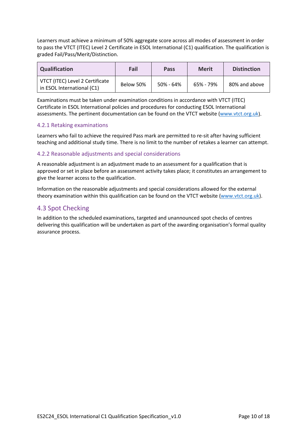Learners must achieve a minimum of 50% aggregate score across all modes of assessment in order to pass the VTCT (ITEC) Level 2 Certificate in ESOL International (C1) qualification. The qualification is graded Fail/Pass/Merit/Distinction.

| <b>Qualification</b>                                          | Fail      | <b>Pass</b>   | <b>Merit</b> | <b>Distinction</b> |
|---------------------------------------------------------------|-----------|---------------|--------------|--------------------|
| VTCT (ITEC) Level 2 Certificate<br>in ESOL International (C1) | Below 50% | $50\% - 64\%$ | 65% - 79%    | 80% and above      |

Examinations must be taken under examination conditions in accordance with VTCT (ITEC) Certificate in ESOL International policies and procedures for conducting ESOL International assessments. The pertinent documentation can be found on the VTCT website [\(www.vtct.org.uk\)](http://www.vtct.org.uk/).

#### <span id="page-9-0"></span>4.2.1 Retaking examinations

Learners who fail to achieve the required Pass mark are permitted to re-sit after having sufficient teaching and additional study time. There is no limit to the number of retakes a learner can attempt.

#### <span id="page-9-1"></span>4.2.2 Reasonable adjustments and special considerations

A reasonable adjustment is an adjustment made to an assessment for a qualification that is approved or set in place before an assessment activity takes place; it constitutes an arrangement to give the learner access to the qualification.

Information on the reasonable adjustments and special considerations allowed for the external theory examination within this qualification can be found on the VTCT website [\(www.vtct.org.uk\)](http://www.vtct.org.uk/).

#### <span id="page-9-2"></span>4.3 Spot Checking

In addition to the scheduled examinations, targeted and unannounced spot checks of centres delivering this qualification will be undertaken as part of the awarding organisation's formal quality assurance process.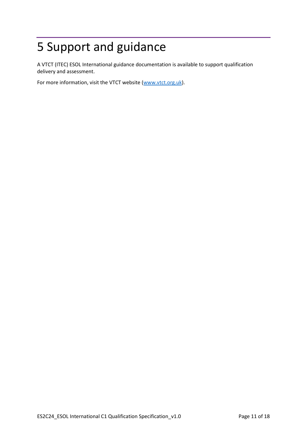### <span id="page-10-0"></span>5 Support and guidance

A VTCT (ITEC) ESOL International guidance documentation is available to support qualification delivery and assessment.

For more information, visit the VTCT website [\(www.vtct.org.uk\)](http://www.vtct.org.uk/).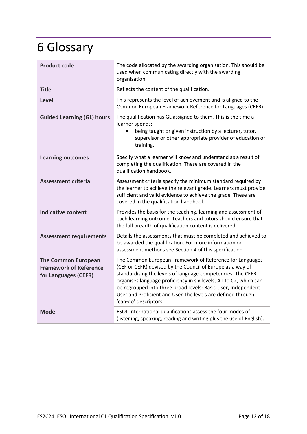### <span id="page-11-0"></span>6 Glossary

| <b>Product code</b>                                                                 | The code allocated by the awarding organisation. This should be<br>used when communicating directly with the awarding<br>organisation.                                                                                                                                                                                                                                                                              |
|-------------------------------------------------------------------------------------|---------------------------------------------------------------------------------------------------------------------------------------------------------------------------------------------------------------------------------------------------------------------------------------------------------------------------------------------------------------------------------------------------------------------|
| <b>Title</b>                                                                        | Reflects the content of the qualification.                                                                                                                                                                                                                                                                                                                                                                          |
| Level                                                                               | This represents the level of achievement and is aligned to the<br>Common European Framework Reference for Languages (CEFR).                                                                                                                                                                                                                                                                                         |
| <b>Guided Learning (GL) hours</b>                                                   | The qualification has GL assigned to them. This is the time a<br>learner spends:<br>being taught or given instruction by a lecturer, tutor,<br>supervisor or other appropriate provider of education or<br>training.                                                                                                                                                                                                |
| <b>Learning outcomes</b>                                                            | Specify what a learner will know and understand as a result of<br>completing the qualification. These are covered in the<br>qualification handbook.                                                                                                                                                                                                                                                                 |
| <b>Assessment criteria</b>                                                          | Assessment criteria specify the minimum standard required by<br>the learner to achieve the relevant grade. Learners must provide<br>sufficient and valid evidence to achieve the grade. These are<br>covered in the qualification handbook.                                                                                                                                                                         |
| <b>Indicative content</b>                                                           | Provides the basis for the teaching, learning and assessment of<br>each learning outcome. Teachers and tutors should ensure that<br>the full breadth of qualification content is delivered.                                                                                                                                                                                                                         |
| <b>Assessment requirements</b>                                                      | Details the assessments that must be completed and achieved to<br>be awarded the qualification. For more information on<br>assessment methods see Section 4 of this specification.                                                                                                                                                                                                                                  |
| <b>The Common European</b><br><b>Framework of Reference</b><br>for Languages (CEFR) | The Common European Framework of Reference for Languages<br>(CEF or CEFR) devised by the Council of Europe as a way of<br>standardising the levels of language competencies. The CEFR<br>organises language proficiency in six levels, A1 to C2, which can<br>be regrouped into three broad levels: Basic User, Independent<br>User and Proficient and User The levels are defined through<br>'can-do' descriptors. |
| <b>Mode</b>                                                                         | ESOL International qualifications assess the four modes of<br>(listening, speaking, reading and writing plus the use of English).                                                                                                                                                                                                                                                                                   |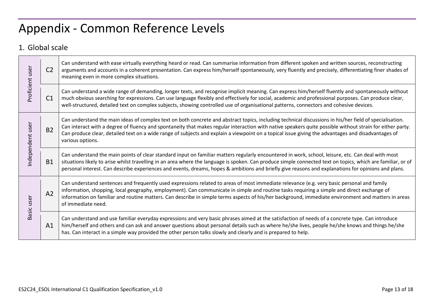### Appendix - Common Reference Levels

#### 1. Global scale

<span id="page-12-0"></span>

| Proficient user  | C <sub>2</sub> | Can understand with ease virtually everything heard or read. Can summarise information from different spoken and written sources, reconstructing<br>arguments and accounts in a coherent presentation. Can express him/herself spontaneously, very fluently and precisely, differentiating finer shades of<br>meaning even in more complex situations.                                                                                                                                         |
|------------------|----------------|------------------------------------------------------------------------------------------------------------------------------------------------------------------------------------------------------------------------------------------------------------------------------------------------------------------------------------------------------------------------------------------------------------------------------------------------------------------------------------------------|
|                  | C <sub>1</sub> | Can understand a wide range of demanding, longer texts, and recognise implicit meaning. Can express him/herself fluently and spontaneously without<br>much obvious searching for expressions. Can use language flexibly and effectively for social, academic and professional purposes. Can produce clear,<br>well-structured, detailed text on complex subjects, showing controlled use of organisational patterns, connectors and cohesive devices.                                          |
| Independent user | <b>B2</b>      | Can understand the main ideas of complex text on both concrete and abstract topics, including technical discussions in his/her field of specialisation.<br>Can interact with a degree of fluency and spontaneity that makes regular interaction with native speakers quite possible without strain for either party.<br>Can produce clear, detailed text on a wide range of subjects and explain a viewpoint on a topical issue giving the advantages and disadvantages of<br>various options. |
|                  | <b>B1</b>      | Can understand the main points of clear standard input on familiar matters regularly encountered in work, school, leisure, etc. Can deal with most<br>situations likely to arise whilst travelling in an area where the language is spoken. Can produce simple connected text on topics, which are familiar, or of<br>personal interest. Can describe experiences and events, dreams, hopes & ambitions and briefly give reasons and explanations for opinions and plans.                      |
| user             | A2             | Can understand sentences and frequently used expressions related to areas of most immediate relevance (e.g. very basic personal and family<br>information, shopping, local geography, employment). Can communicate in simple and routine tasks requiring a simple and direct exchange of<br>information on familiar and routine matters. Can describe in simple terms aspects of his/her background, immediate environment and matters in areas<br>of immediate need.                          |
| <b>Basic</b>     | A1             | Can understand and use familiar everyday expressions and very basic phrases aimed at the satisfaction of needs of a concrete type. Can introduce<br>him/herself and others and can ask and answer questions about personal details such as where he/she lives, people he/she knows and things he/she<br>has. Can interact in a simple way provided the other person talks slowly and clearly and is prepared to help.                                                                          |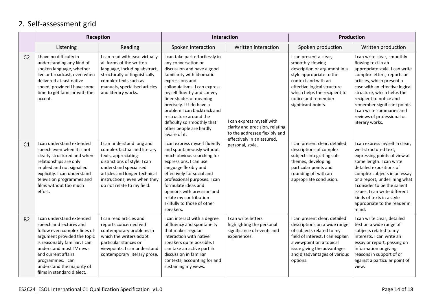### 2. Self-assessment grid

|                | Reception                                                                                                                                                                                                                                                                               |                                                                                                                                                                                                                                           | Interaction                                                                                                                                                                                                                                                                                                                                                                                     |                                                                                                                                                 | Production                                                                                                                                                                                                                                 |                                                                                                                                                                                                                                                                                                                                                          |
|----------------|-----------------------------------------------------------------------------------------------------------------------------------------------------------------------------------------------------------------------------------------------------------------------------------------|-------------------------------------------------------------------------------------------------------------------------------------------------------------------------------------------------------------------------------------------|-------------------------------------------------------------------------------------------------------------------------------------------------------------------------------------------------------------------------------------------------------------------------------------------------------------------------------------------------------------------------------------------------|-------------------------------------------------------------------------------------------------------------------------------------------------|--------------------------------------------------------------------------------------------------------------------------------------------------------------------------------------------------------------------------------------------|----------------------------------------------------------------------------------------------------------------------------------------------------------------------------------------------------------------------------------------------------------------------------------------------------------------------------------------------------------|
|                | Listening                                                                                                                                                                                                                                                                               | Reading                                                                                                                                                                                                                                   | Spoken interaction                                                                                                                                                                                                                                                                                                                                                                              | Written interaction                                                                                                                             | Spoken production                                                                                                                                                                                                                          | Written production                                                                                                                                                                                                                                                                                                                                       |
| C <sub>2</sub> | I have no difficulty in<br>understanding any kind of<br>spoken language, whether<br>live or broadcast, even when<br>delivered at fast native<br>speed, provided I have some<br>time to get familiar with the<br>accent.                                                                 | I can read with ease virtually<br>all forms of the written<br>language, including abstract,<br>structurally or linguistically<br>complex texts such as<br>manuals, specialised articles<br>and literary works.                            | I can take part effortlessly in<br>any conversation or<br>discussion and have a good<br>familiarity with idiomatic<br>expressions and<br>colloquialisms. I can express<br>myself fluently and convey<br>finer shades of meaning<br>precisely. If I do have a<br>problem I can backtrack and<br>restructure around the<br>difficulty so smoothly that<br>other people are hardly<br>aware of it. | I can express myself with<br>clarity and precision, relating<br>to the addressee flexibly and<br>effectively in an assured,<br>personal, style. | I can present a clear,<br>smoothly-flowing<br>description or argument in a<br>style appropriate to the<br>context and with an<br>effective logical structure<br>which helps the recipient to<br>notice and remember<br>significant points. | I can write clear, smoothly<br>flowing text in an<br>appropriate style. I can write<br>complex letters, reports or<br>articles, which present a<br>case with an effective logical<br>structure, which helps the<br>recipient to notice and<br>remember significant points.<br>I can write summaries and<br>reviews of professional or<br>literary works. |
| C <sub>1</sub> | I can understand extended<br>speech even when it is not<br>clearly structured and when<br>relationships are only<br>implied and not signalled<br>explicitly. I can understand<br>television programmes and<br>films without too much<br>effort.                                         | I can understand long and<br>complex factual and literary<br>texts, appreciating<br>distinctions of style. I can<br>understand specialised<br>articles and longer technical<br>instructions, even when they<br>do not relate to my field. | I can express myself fluently<br>and spontaneously without<br>much obvious searching for<br>expressions. I can use<br>language flexibly and<br>effectively for social and<br>professional purposes. I can<br>formulate ideas and<br>opinions with precision and<br>relate my contribution<br>skilfully to those of other<br>speakers.                                                           |                                                                                                                                                 | I can present clear, detailed<br>descriptions of complex<br>subjects integrating sub-<br>themes, developing<br>particular points and<br>rounding off with an<br>appropriate conclusion.                                                    | I can express myself in clear,<br>well-structured text,<br>expressing points of view at<br>some length. I can write<br>detailed expositions of<br>complex subjects in an essay<br>or a report, underlining what<br>I consider to be the salient<br>issues. I can write different<br>kinds of texts in a style<br>appropriate to the reader in<br>mind.   |
| <b>B2</b>      | I can understand extended<br>speech and lectures and<br>follow even complex lines of<br>argument provided the topic<br>is reasonably familiar. I can<br>understand most TV news<br>and current affairs<br>programmes. I can<br>understand the majority of<br>films in standard dialect. | I can read articles and<br>reports concerned with<br>contemporary problems in<br>which the writers adopt<br>particular stances or<br>viewpoints. I can understand<br>contemporary literary prose.                                         | I can interact with a degree<br>of fluency and spontaneity<br>that makes regular<br>interaction with native<br>speakers quite possible. I<br>can take an active part in<br>discussion in familiar<br>contexts, accounting for and<br>sustaining my views.                                                                                                                                       | I can write letters<br>highlighting the personal<br>significance of events and<br>experiences.                                                  | I can present clear, detailed<br>descriptions on a wide range<br>of subjects related to my<br>field of interest. I can explain<br>a viewpoint on a topical<br>issue giving the advantages<br>and disadvantages of various<br>options.      | I can write clear, detailed<br>text on a wide range of<br>subjects related to my<br>interests. I can write an<br>essay or report, passing on<br>information or giving<br>reasons in support of or<br>against a particular point of<br>view.                                                                                                              |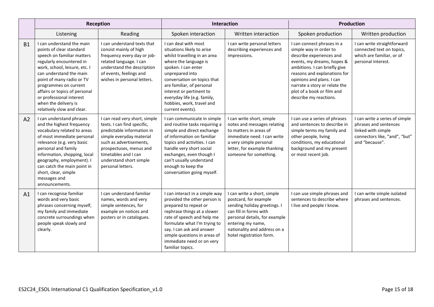|                | Reception                                                                                                                                                                                                                                                                                                                                            |                                                                                                                                                                                                                                                      | Interaction                                                                                                                                                                                                                                                                                                                   |                                                                                                                                                                                                                                  | <b>Production</b>                                                                                                                                                                                                                                                                                     |                                                                                                                                  |
|----------------|------------------------------------------------------------------------------------------------------------------------------------------------------------------------------------------------------------------------------------------------------------------------------------------------------------------------------------------------------|------------------------------------------------------------------------------------------------------------------------------------------------------------------------------------------------------------------------------------------------------|-------------------------------------------------------------------------------------------------------------------------------------------------------------------------------------------------------------------------------------------------------------------------------------------------------------------------------|----------------------------------------------------------------------------------------------------------------------------------------------------------------------------------------------------------------------------------|-------------------------------------------------------------------------------------------------------------------------------------------------------------------------------------------------------------------------------------------------------------------------------------------------------|----------------------------------------------------------------------------------------------------------------------------------|
|                | Listening                                                                                                                                                                                                                                                                                                                                            | Reading                                                                                                                                                                                                                                              | Spoken interaction                                                                                                                                                                                                                                                                                                            | Written interaction                                                                                                                                                                                                              | Spoken production                                                                                                                                                                                                                                                                                     | Written production                                                                                                               |
| <b>B1</b>      | I can understand the main<br>points of clear standard<br>speech on familiar matters<br>regularly encountered in<br>work, school, leisure, etc. I<br>can understand the main<br>point of many radio or TV<br>programmes on current<br>affairs or topics of personal<br>or professional interest<br>when the delivery is<br>relatively slow and clear. | I can understand texts that<br>consist mainly of high<br>frequency every day or job-<br>related language. I can<br>understand the description<br>of events, feelings and<br>wishes in personal letters.                                              | I can deal with most<br>situations likely to arise<br>whilst travelling in an area<br>where the language is<br>spoken. I can enter<br>unprepared into<br>conversation on topics that<br>are familiar, of personal<br>interest or pertinent to<br>everyday life (e.g. family,<br>hobbies, work, travel and<br>current events). | I can write personal letters<br>describing experiences and<br>impressions.                                                                                                                                                       | I can connect phrases in a<br>simple way in order to<br>describe experiences and<br>events, my dreams, hopes &<br>ambitions. I can briefly give<br>reasons and explanations for<br>opinions and plans. I can<br>narrate a story or relate the<br>plot of a book or film and<br>describe my reactions. | I can write straightforward<br>connected text on topics,<br>which are familiar, or of<br>personal interest.                      |
| A <sub>2</sub> | I can understand phrases<br>and the highest frequency<br>vocabulary related to areas<br>of most immediate personal<br>relevance (e.g. very basic<br>personal and family<br>information, shopping, local<br>geography, employment). I<br>can catch the main point in<br>short, clear, simple<br>messages and<br>announcements.                        | I can read very short, simple<br>texts. I can find specific,<br>predictable information in<br>simple everyday material<br>such as advertisements,<br>prospectuses, menus and<br>timetables and I can<br>understand short simple<br>personal letters. | I can communicate in simple<br>and routine tasks requiring a<br>simple and direct exchange<br>of information on familiar<br>topics and activities. I can<br>handle very short social<br>exchanges, even though I<br>can't usually understand<br>enough to keep the<br>conversation going myself.                              | I can write short, simple<br>notes and messages relating<br>to matters in areas of<br>immediate need. I can write<br>a very simple personal<br>letter, for example thanking<br>someone for something.                            | I can use a series of phrases<br>and sentences to describe in<br>simple terms my family and<br>other people, living<br>conditions, my educational<br>background and my present<br>or most recent job.                                                                                                 | I can write a series of simple<br>phrases and sentences<br>linked with simple<br>connectors like, "and", "but"<br>and "because". |
| A1             | I can recognise familiar<br>words and very basic<br>phrases concerning myself,<br>my family and immediate<br>concrete surroundings when<br>people speak slowly and<br>clearly.                                                                                                                                                                       | I can understand familiar<br>names, words and very<br>simple sentences, for<br>example on notices and<br>posters or in catalogues.                                                                                                                   | I can interact in a simple way<br>provided the other person is<br>prepared to repeat or<br>rephrase things at a slower<br>rate of speech and help me<br>formulate what I'm trying to<br>say. I can ask and answer<br>simple questions in areas of<br>immediate need or on very<br>familiar topics.                            | I can write a short, simple<br>postcard, for example<br>sending holiday greetings. I<br>can fill in forms with<br>personal details, for example<br>entering my name,<br>nationality and address on a<br>hotel registration form. | I can use simple phrases and<br>sentences to describe where<br>I live and people I know.                                                                                                                                                                                                              | I can write simple isolated<br>phrases and sentences.                                                                            |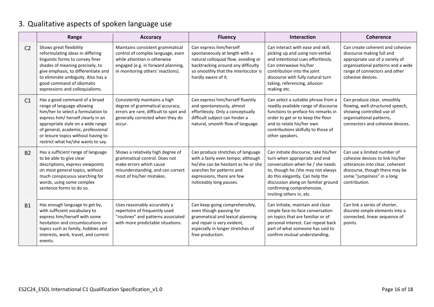### 3. Qualitative aspects of spoken language use

|                | Range                                                                                                                                                                                                                                                                                           | <b>Accuracy</b>                                                                                                                                                                  | <b>Fluency</b>                                                                                                                                                                                         | Interaction                                                                                                                                                                                                                                                                       | <b>Coherence</b>                                                                                                                                                                             |
|----------------|-------------------------------------------------------------------------------------------------------------------------------------------------------------------------------------------------------------------------------------------------------------------------------------------------|----------------------------------------------------------------------------------------------------------------------------------------------------------------------------------|--------------------------------------------------------------------------------------------------------------------------------------------------------------------------------------------------------|-----------------------------------------------------------------------------------------------------------------------------------------------------------------------------------------------------------------------------------------------------------------------------------|----------------------------------------------------------------------------------------------------------------------------------------------------------------------------------------------|
| C <sub>2</sub> | Shows great flexibility<br>reformulating ideas in differing<br>linguistic forms to convey finer<br>shades of meaning precisely, to<br>give emphasis, to differentiate and<br>to eliminate ambiguity. Also has a<br>good command of idiomatic<br>expressions and colloquialisms.                 | Maintains consistent grammatical<br>control of complex language, even<br>while attention is otherwise<br>engaged (e.g. in forward planning,<br>in monitoring others' reactions). | Can express him/herself<br>spontaneously at length with a<br>natural colloquial flow, avoiding or<br>backtracking around any difficulty<br>so smoothly that the interlocutor is<br>hardly aware of it. | Can interact with ease and skill,<br>picking up and using non-verbal<br>and intentional cues effortlessly.<br>Can interweave his/her<br>contribution into the joint<br>discourse with fully natural turn<br>taking, referencing, allusion<br>making etc.                          | Can create coherent and cohesive<br>discourse making full and<br>appropriate use of a variety of<br>organisational patterns and a wide<br>range of connectors and other<br>cohesive devices. |
| C <sub>1</sub> | Has a good command of a broad<br>range of language allowing<br>him/her to select a formulation to<br>express him/ herself clearly in an<br>appropriate style on a wide range<br>of general, academic, professional<br>or leisure topics without having to<br>restrict what he/she wants to say. | Consistently maintains a high<br>degree of grammatical accuracy;<br>errors are rare, difficult to spot and<br>generally corrected when they do<br>occur.                         | Can express him/herself fluently<br>and spontaneously, almost<br>effortlessly. Only a conceptually<br>difficult subject can hinder a<br>natural, smooth flow of language.                              | Can select a suitable phrase from a<br>readily available range of discourse<br>functions to preface his remarks in<br>order to get or to keep the floor<br>and to relate his/her own<br>contributions skilfully to those of<br>other speakers.                                    | Can produce clear, smoothly<br>flowing, well-structured speech,<br>showing controlled use of<br>organisational patterns,<br>connectors and cohesive devices.                                 |
| B <sub>2</sub> | Has a sufficient range of language<br>to be able to give clear<br>descriptions, express viewpoints<br>on most general topics, without<br>much conspicuous searching for<br>words, using some complex<br>sentence forms to do so.                                                                | Shows a relatively high degree of<br>grammatical control. Does not<br>make errors which cause<br>misunderstanding, and can correct<br>most of his/her mistakes.                  | Can produce stretches of language<br>with a fairly even tempo; although<br>he/she can be hesitant as he or she<br>searches for patterns and<br>expressions, there are few<br>noticeably long pauses.   | Can initiate discourse, take his/her<br>turn when appropriate and end<br>conversation when he / she needs<br>to, though he /she may not always<br>do this elegantly. Can help the<br>discussion along on familiar ground<br>confirming comprehension,<br>inviting others in, etc. | Can use a limited number of<br>cohesive devices to link his/her<br>utterances into clear, coherent<br>discourse, though there may be<br>some "jumpiness" in a long<br>contribution.          |
| <b>B1</b>      | Has enough language to get by,<br>with sufficient vocabulary to<br>express him/herself with some<br>hesitation and circumlocutions on<br>topics such as family, hobbies and<br>interests, work, travel, and current<br>events.                                                                  | Uses reasonably accurately a<br>repertoire of frequently used<br>"routines" and patterns associated<br>with more predictable situations.                                         | Can keep going comprehensibly,<br>even though pausing for<br>grammatical and lexical planning<br>and repair is very evident,<br>especially in longer stretches of<br>free production.                  | Can initiate, maintain and close<br>simple face-to-face conversation<br>on topics that are familiar or of<br>personal interest. Can repeat back<br>part of what someone has said to<br>confirm mutual understanding.                                                              | Can link a series of shorter,<br>discrete simple elements into a<br>connected, linear sequence of<br>points.                                                                                 |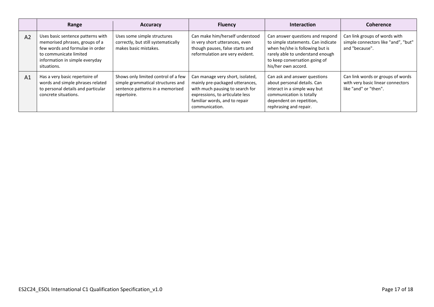|                | Range                                                                                                                                                                             | <b>Accuracy</b>                                                                                                             | <b>Fluency</b>                                                                                                                                                                               | <b>Interaction</b>                                                                                                                                                                                    | <b>Coherence</b>                                                                                |
|----------------|-----------------------------------------------------------------------------------------------------------------------------------------------------------------------------------|-----------------------------------------------------------------------------------------------------------------------------|----------------------------------------------------------------------------------------------------------------------------------------------------------------------------------------------|-------------------------------------------------------------------------------------------------------------------------------------------------------------------------------------------------------|-------------------------------------------------------------------------------------------------|
| A <sub>2</sub> | Uses basic sentence patterns with<br>memorised phrases, groups of a<br>few words and formulae in order<br>to communicate limited<br>information in simple everyday<br>situations. | Uses some simple structures<br>correctly, but still systematically<br>makes basic mistakes.                                 | Can make him/herself understood<br>in very short utterances, even<br>though pauses, false starts and<br>reformulation are very evident.                                                      | Can answer questions and respond<br>to simple statements. Can indicate<br>when he/she is following but is<br>rarely able to understand enough<br>to keep conversation going of<br>his/her own accord. | Can link groups of words with<br>simple connectors like "and", "but"<br>and "because".          |
| A1             | Has a very basic repertoire of<br>words and simple phrases related<br>to personal details and particular<br>concrete situations.                                                  | Shows only limited control of a few<br>simple grammatical structures and<br>sentence patterns in a memorised<br>repertoire. | Can manage very short, isolated,<br>mainly pre-packaged utterances,<br>with much pausing to search for<br>expressions, to articulate less<br>familiar words, and to repair<br>communication. | Can ask and answer questions<br>about personal details. Can<br>interact in a simple way but<br>communication is totally<br>dependent on repetition,<br>rephrasing and repair.                         | Can link words or groups of words<br>with very basic linear connectors<br>like "and" or "then". |